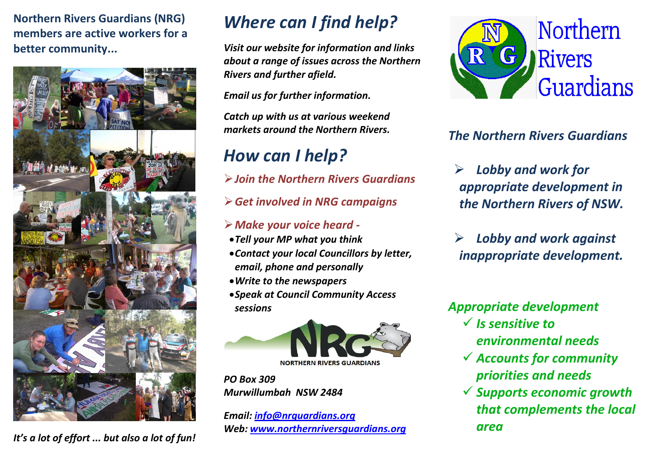**Northern Rivers Guardians (NRG) members are active workers for a better community...**



*It's a lot of effort ... but also a lot of fun!*

## *Where can I find help?*

*Visit our website for information and links about a range of issues across the Northern Rivers and further afield.*

*Email us for further information.*

*Catch up with us at various weekend markets around the Northern Rivers.*

# *How can I help?*

- *Join the Northern Rivers Guardians*
- *Get involved in NRG campaigns*
- *Make your voice heard -*
- *Tell your MP what you think*
- *Contact your local Councillors by letter, email, phone and personally*
- *Write to the newspapers*
- *Speak at Council Community Access sessions*



*PO Box 309 Murwillumbah NSW 2484*

*Email: [info@nrguardians.org](mailto:info@nrguardians.org) Web: [www.northernriversguardians.org](http://www.northernriversguardians.org/)*



## *The Northern Rivers Guardians*

- *Lobby and work for appropriate development in the Northern Rivers of NSW.*
- *Lobby and work against inappropriate development.*
- *Appropriate development Is sensitive to environmental needs Accounts for community priorities and needs Supports economic growth* 
	- *that complements the local area*